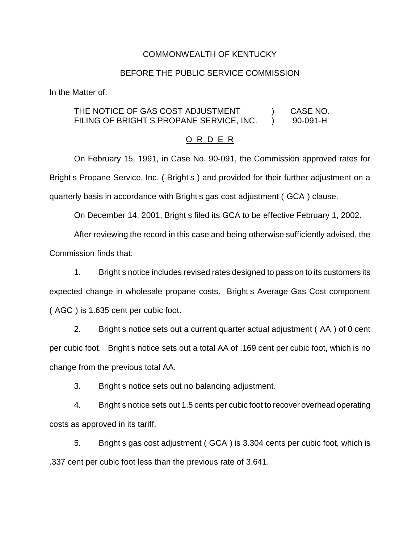#### COMMONWEALTH OF KENTUCKY

#### BEFORE THE PUBLIC SERVICE COMMISSION

In the Matter of:

### THE NOTICE OF GAS COST ADJUSTMENT ) CASE NO. FILING OF BRIGHT S PROPANE SERVICE, INC.  $\qquad$  90-091-H

#### O R D E R

On February 15, 1991, in Case No. 90-091, the Commission approved rates for Bright s Propane Service, Inc. ( Bright s ) and provided for their further adjustment on a quarterly basis in accordance with Bright s gas cost adjustment ( GCA ) clause.

On December 14, 2001, Bright s filed its GCA to be effective February 1, 2002.

After reviewing the record in this case and being otherwise sufficiently advised, the

Commission finds that:

1. Bright s notice includes revised rates designed to pass on to its customers its expected change in wholesale propane costs. Bright s Average Gas Cost component ( AGC ) is 1.635 cent per cubic foot.

2. Bright s notice sets out a current quarter actual adjustment ( AA ) of 0 cent per cubic foot. Bright s notice sets out a total AA of .169 cent per cubic foot, which is no change from the previous total AA.

3. Bright s notice sets out no balancing adjustment.

4. Bright s notice sets out 1.5 cents per cubic foot to recover overhead operating costs as approved in its tariff.

5. Bright s gas cost adjustment ( GCA ) is 3.304 cents per cubic foot, which is .337 cent per cubic foot less than the previous rate of 3.641.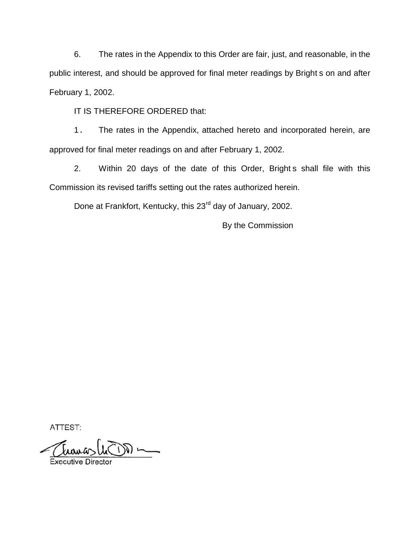6. The rates in the Appendix to this Order are fair, just, and reasonable, in the public interest, and should be approved for final meter readings by Bright s on and after February 1, 2002.

IT IS THEREFORE ORDERED that:

1. The rates in the Appendix, attached hereto and incorporated herein, are approved for final meter readings on and after February 1, 2002.

2. Within 20 days of the date of this Order, Bright s shall file with this Commission its revised tariffs setting out the rates authorized herein.

Done at Frankfort, Kentucky, this 23<sup>rd</sup> day of January, 2002.

By the Commission

ATTEST:

**Executive Director**